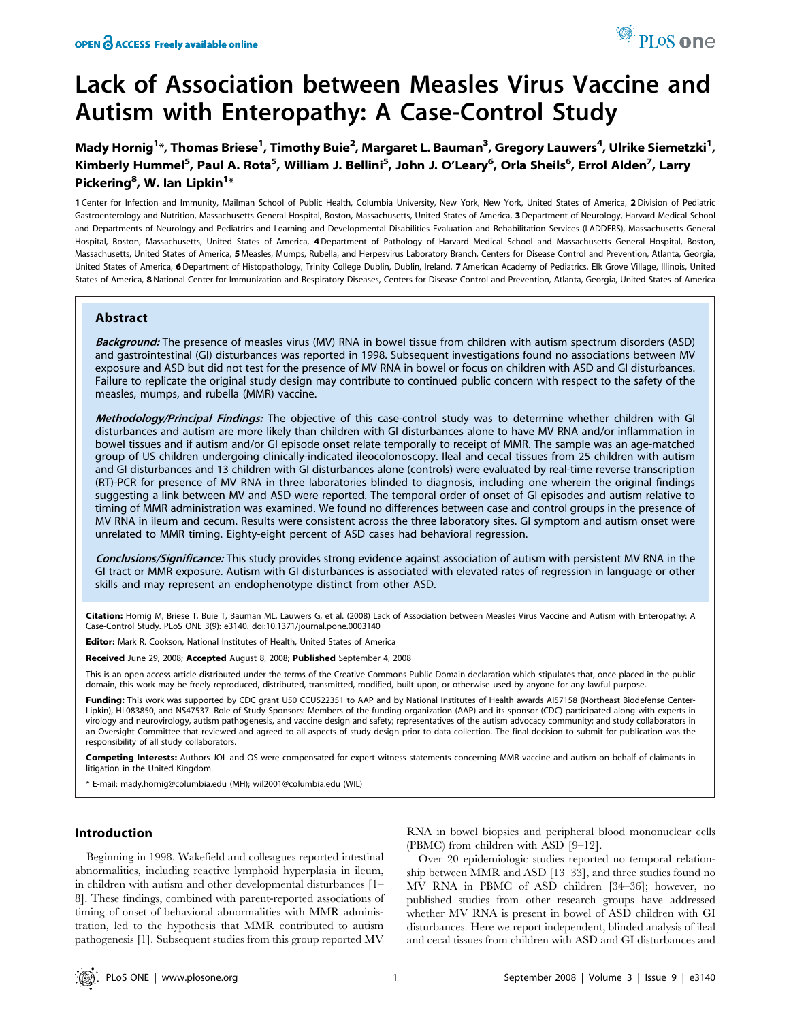# Lack of Association between Measles Virus Vaccine and Autism with Enteropathy: A Case-Control Study

Mady Hornig<sup>1</sup>\*, Thomas Briese<sup>1</sup>, Timothy Buie<sup>2</sup>, Margaret L. Bauman<sup>3</sup>, Gregory Lauwers<sup>4</sup>, Ulrike Siemetzki<sup>1</sup>, Kimberly Hummel<sup>5</sup>, Paul A. Rota<sup>5</sup>, William J. Bellini<sup>5</sup>, John J. O'Leary<sup>6</sup>, Orla Sheils<sup>6</sup>, Errol Alden<sup>7</sup>, Larry Pickering<sup>8</sup>, W. Ian Lipkin<sup>1</sup>\*

1 Center for Infection and Immunity, Mailman School of Public Health, Columbia University, New York, New York, United States of America, 2 Division of Pediatric Gastroenterology and Nutrition, Massachusetts General Hospital, Boston, Massachusetts, United States of America, 3 Department of Neurology, Harvard Medical School and Departments of Neurology and Pediatrics and Learning and Developmental Disabilities Evaluation and Rehabilitation Services (LADDERS), Massachusetts General Hospital, Boston, Massachusetts, United States of America, 4 Department of Pathology of Harvard Medical School and Massachusetts General Hospital, Boston, Massachusetts, United States of America, 5 Measles, Mumps, Rubella, and Herpesvirus Laboratory Branch, Centers for Disease Control and Prevention, Atlanta, Georgia, United States of America, 6 Department of Histopathology, Trinity College Dublin, Dublin, Ireland, 7 American Academy of Pediatrics, Elk Grove Village, Illinois, United States of America, 8 National Center for Immunization and Respiratory Diseases, Centers for Disease Control and Prevention, Atlanta, Georgia, United States of America

## Abstract

Background: The presence of measles virus (MV) RNA in bowel tissue from children with autism spectrum disorders (ASD) and gastrointestinal (GI) disturbances was reported in 1998. Subsequent investigations found no associations between MV exposure and ASD but did not test for the presence of MV RNA in bowel or focus on children with ASD and GI disturbances. Failure to replicate the original study design may contribute to continued public concern with respect to the safety of the measles, mumps, and rubella (MMR) vaccine.

Methodology/Principal Findings: The objective of this case-control study was to determine whether children with GI disturbances and autism are more likely than children with GI disturbances alone to have MV RNA and/or inflammation in bowel tissues and if autism and/or GI episode onset relate temporally to receipt of MMR. The sample was an age-matched group of US children undergoing clinically-indicated ileocolonoscopy. Ileal and cecal tissues from 25 children with autism and GI disturbances and 13 children with GI disturbances alone (controls) were evaluated by real-time reverse transcription (RT)-PCR for presence of MV RNA in three laboratories blinded to diagnosis, including one wherein the original findings suggesting a link between MV and ASD were reported. The temporal order of onset of GI episodes and autism relative to timing of MMR administration was examined. We found no differences between case and control groups in the presence of MV RNA in ileum and cecum. Results were consistent across the three laboratory sites. GI symptom and autism onset were unrelated to MMR timing. Eighty-eight percent of ASD cases had behavioral regression.

Conclusions/Significance: This study provides strong evidence against association of autism with persistent MV RNA in the GI tract or MMR exposure. Autism with GI disturbances is associated with elevated rates of regression in language or other skills and may represent an endophenotype distinct from other ASD.

Citation: Hornig M, Briese T, Buie T, Bauman ML, Lauwers G, et al. (2008) Lack of Association between Measles Virus Vaccine and Autism with Enteropathy: A Case-Control Study. PLoS ONE 3(9): e3140. doi:10.1371/journal.pone.0003140

Editor: Mark R. Cookson, National Institutes of Health, United States of America

Received June 29, 2008; Accepted August 8, 2008; Published September 4, 2008

This is an open-access article distributed under the terms of the Creative Commons Public Domain declaration which stipulates that, once placed in the public domain, this work may be freely reproduced, distributed, transmitted, modified, built upon, or otherwise used by anyone for any lawful purpose.

Funding: This work was supported by CDC grant U50 CCU522351 to AAP and by National Institutes of Health awards AI57158 (Northeast Biodefense Center-Lipkin), HL083850, and NS47537. Role of Study Sponsors: Members of the funding organization (AAP) and its sponsor (CDC) participated along with experts in virology and neurovirology, autism pathogenesis, and vaccine design and safety; representatives of the autism advocacy community; and study collaborators in an Oversight Committee that reviewed and agreed to all aspects of study design prior to data collection. The final decision to submit for publication was the responsibility of all study collaborators.

Competing Interests: Authors JOL and OS were compensated for expert witness statements concerning MMR vaccine and autism on behalf of claimants in litigation in the United Kingdom.

\* E-mail: mady.hornig@columbia.edu (MH); wil2001@columbia.edu (WIL)

#### Introduction

Beginning in 1998, Wakefield and colleagues reported intestinal abnormalities, including reactive lymphoid hyperplasia in ileum, in children with autism and other developmental disturbances [1– 8]. These findings, combined with parent-reported associations of timing of onset of behavioral abnormalities with MMR administration, led to the hypothesis that MMR contributed to autism pathogenesis [1]. Subsequent studies from this group reported MV

RNA in bowel biopsies and peripheral blood mononuclear cells (PBMC) from children with ASD [9–12].

Over 20 epidemiologic studies reported no temporal relationship between MMR and ASD [13–33], and three studies found no MV RNA in PBMC of ASD children [34–36]; however, no published studies from other research groups have addressed whether MV RNA is present in bowel of ASD children with GI disturbances. Here we report independent, blinded analysis of ileal and cecal tissues from children with ASD and GI disturbances and

PLoS one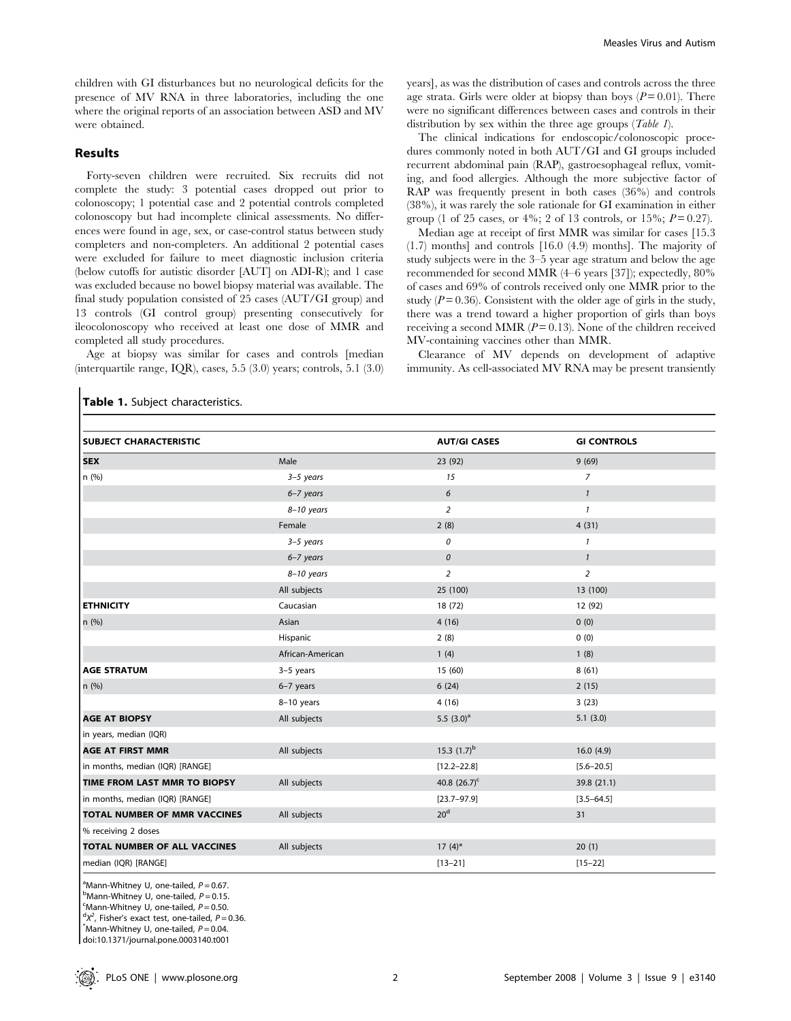children with GI disturbances but no neurological deficits for the presence of MV RNA in three laboratories, including the one where the original reports of an association between ASD and MV were obtained.

# Results

Forty-seven children were recruited. Six recruits did not complete the study: 3 potential cases dropped out prior to colonoscopy; 1 potential case and 2 potential controls completed colonoscopy but had incomplete clinical assessments. No differences were found in age, sex, or case-control status between study completers and non-completers. An additional 2 potential cases were excluded for failure to meet diagnostic inclusion criteria (below cutoffs for autistic disorder [AUT] on ADI-R); and 1 case was excluded because no bowel biopsy material was available. The final study population consisted of 25 cases (AUT/GI group) and 13 controls (GI control group) presenting consecutively for ileocolonoscopy who received at least one dose of MMR and completed all study procedures.

Age at biopsy was similar for cases and controls [median (interquartile range, IQR), cases, 5.5 (3.0) years; controls, 5.1 (3.0)

Table 1. Subject characteristics.

years], as was the distribution of cases and controls across the three age strata. Girls were older at biopsy than boys  $(P=0.01)$ . There were no significant differences between cases and controls in their distribution by sex within the three age groups  $(Table 1)$ .

The clinical indications for endoscopic/colonoscopic procedures commonly noted in both AUT/GI and GI groups included recurrent abdominal pain (RAP), gastroesophageal reflux, vomiting, and food allergies. Although the more subjective factor of RAP was frequently present in both cases (36%) and controls (38%), it was rarely the sole rationale for GI examination in either group (1 of 25 cases, or 4%; 2 of 13 controls, or 15%;  $P = 0.27$ ).

Median age at receipt of first MMR was similar for cases [15.3 (1.7) months] and controls [16.0 (4.9) months]. The majority of study subjects were in the 3–5 year age stratum and below the age recommended for second MMR (4–6 years [37]); expectedly, 80% of cases and 69% of controls received only one MMR prior to the study ( $P = 0.36$ ). Consistent with the older age of girls in the study, there was a trend toward a higher proportion of girls than boys receiving a second MMR  $(P=0.13)$ . None of the children received MV-containing vaccines other than MMR.

Clearance of MV depends on development of adaptive immunity. As cell-associated MV RNA may be present transiently

| SUBJECT CHARACTERISTIC              |                  | <b>AUT/GI CASES</b> | <b>GI CONTROLS</b> |
|-------------------------------------|------------------|---------------------|--------------------|
| <b>SEX</b>                          | Male             | 23 (92)             | 9(69)              |
| n(%)                                | $3-5$ years      | 15                  | $\overline{7}$     |
|                                     | $6 - 7$ years    | $\epsilon$          | $\mathbf{1}$       |
|                                     | $8-10$ years     | $\overline{2}$      | $\mathbf{1}$       |
|                                     | Female           | 2(8)                | 4(31)              |
|                                     | $3-5$ years      | 0                   | 1                  |
|                                     | $6 - 7$ years    | $\mathcal{O}$       | $\mathbf{1}$       |
|                                     | 8-10 years       | $\overline{2}$      | $\overline{2}$     |
|                                     | All subjects     | 25 (100)            | 13 (100)           |
| <b>ETHNICITY</b>                    | Caucasian        | 18 (72)             | 12 (92)            |
| n (%)                               | Asian            | 4(16)               | 0(0)               |
|                                     | Hispanic         | 2(8)                | 0(0)               |
|                                     | African-American | 1(4)                | 1(8)               |
| <b>AGE STRATUM</b>                  | $3-5$ years      | 15 (60)             | 8(61)              |
| n (%)                               | 6-7 years        | 6(24)               | 2(15)              |
|                                     | $8-10$ years     | 4(16)               | 3(23)              |
| <b>AGE AT BIOPSY</b>                | All subjects     | 5.5 $(3.0)^a$       | 5.1(3.0)           |
| in years, median (IQR)              |                  |                     |                    |
| <b>AGE AT FIRST MMR</b>             | All subjects     | 15.3 $(1.7)^b$      | 16.0(4.9)          |
| in months, median (IQR) [RANGE]     |                  | $[12.2 - 22.8]$     | $[5.6 - 20.5]$     |
| TIME FROM LAST MMR TO BIOPSY        | All subjects     | 40.8 $(26.7)^c$     | 39.8 (21.1)        |
| in months, median (IQR) [RANGE]     |                  | $[23.7 - 97.9]$     | $[3.5 - 64.5]$     |
| <b>TOTAL NUMBER OF MMR VACCINES</b> | All subjects     | 20 <sup>d</sup>     | 31                 |
| % receiving 2 doses                 |                  |                     |                    |
| TOTAL NUMBER OF ALL VACCINES        | All subjects     | $17(4)$ *           | 20(1)              |
| median (IQR) [RANGE]                |                  | $[13 - 21]$         | $[15 - 22]$        |

<sup>a</sup> Mann-Whitney U, one-tailed,  $P = 0.67$ .  $^{\text{b}}$ Mann-Whitney U, one-tailed,  $P = 0.15$ .  ${}^{\text{c}}$ Mann-Whitney U, one-tailed,  $P = 0.50$ .  $dX^2$ , Fisher's exact test, one-tailed,  $P = 0.36$ .

 $M$ Mann-Whitney U, one-tailed,  $P = 0.04$ .

doi:10.1371/journal.pone.0003140.t001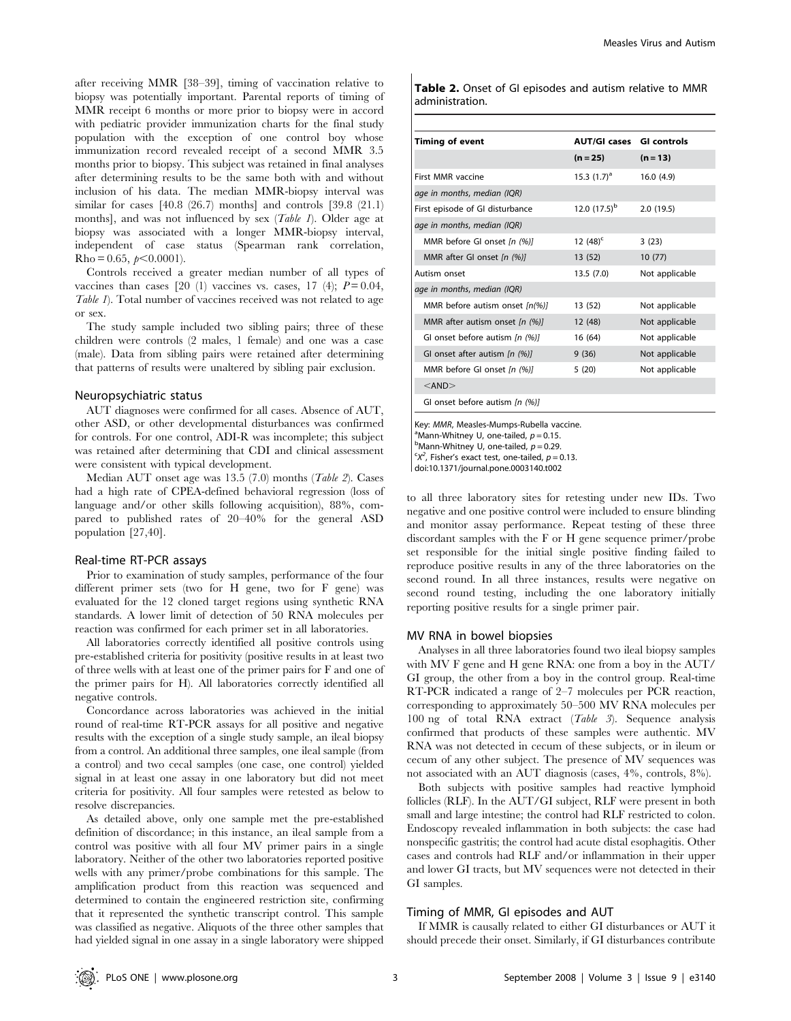after receiving MMR [38–39], timing of vaccination relative to biopsy was potentially important. Parental reports of timing of MMR receipt 6 months or more prior to biopsy were in accord with pediatric provider immunization charts for the final study population with the exception of one control boy whose immunization record revealed receipt of a second MMR 3.5 months prior to biopsy. This subject was retained in final analyses after determining results to be the same both with and without inclusion of his data. The median MMR-biopsy interval was similar for cases [40.8 (26.7) months] and controls [39.8 (21.1) months], and was not influenced by sex (Table 1). Older age at biopsy was associated with a longer MMR-biopsy interval, independent of case status (Spearman rank correlation,  $Rho = 0.65, \, \text{p} < 0.0001$ .

Controls received a greater median number of all types of vaccines than cases  $[20 (1)$  vaccines vs. cases,  $[17 (4)$ ;  $P = 0.04$ , Table 1). Total number of vaccines received was not related to age or sex.

The study sample included two sibling pairs; three of these children were controls (2 males, 1 female) and one was a case (male). Data from sibling pairs were retained after determining that patterns of results were unaltered by sibling pair exclusion.

#### Neuropsychiatric status

AUT diagnoses were confirmed for all cases. Absence of AUT, other ASD, or other developmental disturbances was confirmed for controls. For one control, ADI-R was incomplete; this subject was retained after determining that CDI and clinical assessment were consistent with typical development.

Median AUT onset age was 13.5 (7.0) months (Table 2). Cases had a high rate of CPEA-defined behavioral regression (loss of language and/or other skills following acquisition), 88%, compared to published rates of 20–40% for the general ASD population [27,40].

#### Real-time RT-PCR assays

Prior to examination of study samples, performance of the four different primer sets (two for H gene, two for F gene) was evaluated for the 12 cloned target regions using synthetic RNA standards. A lower limit of detection of 50 RNA molecules per reaction was confirmed for each primer set in all laboratories.

All laboratories correctly identified all positive controls using pre-established criteria for positivity (positive results in at least two of three wells with at least one of the primer pairs for F and one of the primer pairs for H). All laboratories correctly identified all negative controls.

Concordance across laboratories was achieved in the initial round of real-time RT-PCR assays for all positive and negative results with the exception of a single study sample, an ileal biopsy from a control. An additional three samples, one ileal sample (from a control) and two cecal samples (one case, one control) yielded signal in at least one assay in one laboratory but did not meet criteria for positivity. All four samples were retested as below to resolve discrepancies.

As detailed above, only one sample met the pre-established definition of discordance; in this instance, an ileal sample from a control was positive with all four MV primer pairs in a single laboratory. Neither of the other two laboratories reported positive wells with any primer/probe combinations for this sample. The amplification product from this reaction was sequenced and determined to contain the engineered restriction site, confirming that it represented the synthetic transcript control. This sample was classified as negative. Aliquots of the three other samples that had yielded signal in one assay in a single laboratory were shipped Table 2. Onset of GI episodes and autism relative to MMR administration.

| <b>Timing of event</b>              | <b>AUT/GI cases GI controls</b> |                |
|-------------------------------------|---------------------------------|----------------|
|                                     | $(n = 25)$                      | $(n = 13)$     |
| First MMR vaccine                   | 15.3 $(1.7)^a$                  | 16.0(4.9)      |
| age in months, median (IQR)         |                                 |                |
| First episode of GI disturbance     | 12.0 $(17.5)^{b}$               | 2.0(19.5)      |
| age in months, median (IQR)         |                                 |                |
| MMR before GI onset $[n (%)]$       | 12 $(48)^c$                     | 3(23)          |
| MMR after GI onset $[n (%)]$        | 13 (52)                         | 10(77)         |
| Autism onset                        | 13.5(7.0)                       | Not applicable |
| age in months, median (IQR)         |                                 |                |
| MMR before autism onset [n(%)]      | 13 (52)                         | Not applicable |
| MMR after autism onset $[n \ (\%)]$ | 12 (48)                         | Not applicable |
| GI onset before autism In (%)I      | 16 (64)                         | Not applicable |
| GI onset after autism $[n (%)]$     | 9(36)                           | Not applicable |
| MMR before GI onset [n (%)]         | 5(20)                           | Not applicable |
| $<$ AND $>$                         |                                 |                |
| GI onset before autism [n (%)]      |                                 |                |

Key: MMR, Measles-Mumps-Rubella vaccine. <sup>a</sup>Mann-Whitney U, one-tailed,  $p = 0.15$ .  $<sup>b</sup>$ Mann-Whitney U, one-tailed,  $p = 0.29$ .</sup>  $X^2$ , Fisher's exact test, one-tailed,  $p = 0.13$ .

doi:10.1371/journal.pone.0003140.t002

to all three laboratory sites for retesting under new IDs. Two negative and one positive control were included to ensure blinding and monitor assay performance. Repeat testing of these three discordant samples with the F or H gene sequence primer/probe set responsible for the initial single positive finding failed to reproduce positive results in any of the three laboratories on the second round. In all three instances, results were negative on second round testing, including the one laboratory initially reporting positive results for a single primer pair.

#### MV RNA in bowel biopsies

Analyses in all three laboratories found two ileal biopsy samples with MV F gene and H gene RNA: one from a boy in the AUT/ GI group, the other from a boy in the control group. Real-time RT-PCR indicated a range of 2–7 molecules per PCR reaction, corresponding to approximately 50–500 MV RNA molecules per 100 ng of total RNA extract (Table 3). Sequence analysis confirmed that products of these samples were authentic. MV RNA was not detected in cecum of these subjects, or in ileum or cecum of any other subject. The presence of MV sequences was not associated with an AUT diagnosis (cases, 4%, controls, 8%).

Both subjects with positive samples had reactive lymphoid follicles (RLF). In the AUT/GI subject, RLF were present in both small and large intestine; the control had RLF restricted to colon. Endoscopy revealed inflammation in both subjects: the case had nonspecific gastritis; the control had acute distal esophagitis. Other cases and controls had RLF and/or inflammation in their upper and lower GI tracts, but MV sequences were not detected in their GI samples.

#### Timing of MMR, GI episodes and AUT

If MMR is causally related to either GI disturbances or AUT it should precede their onset. Similarly, if GI disturbances contribute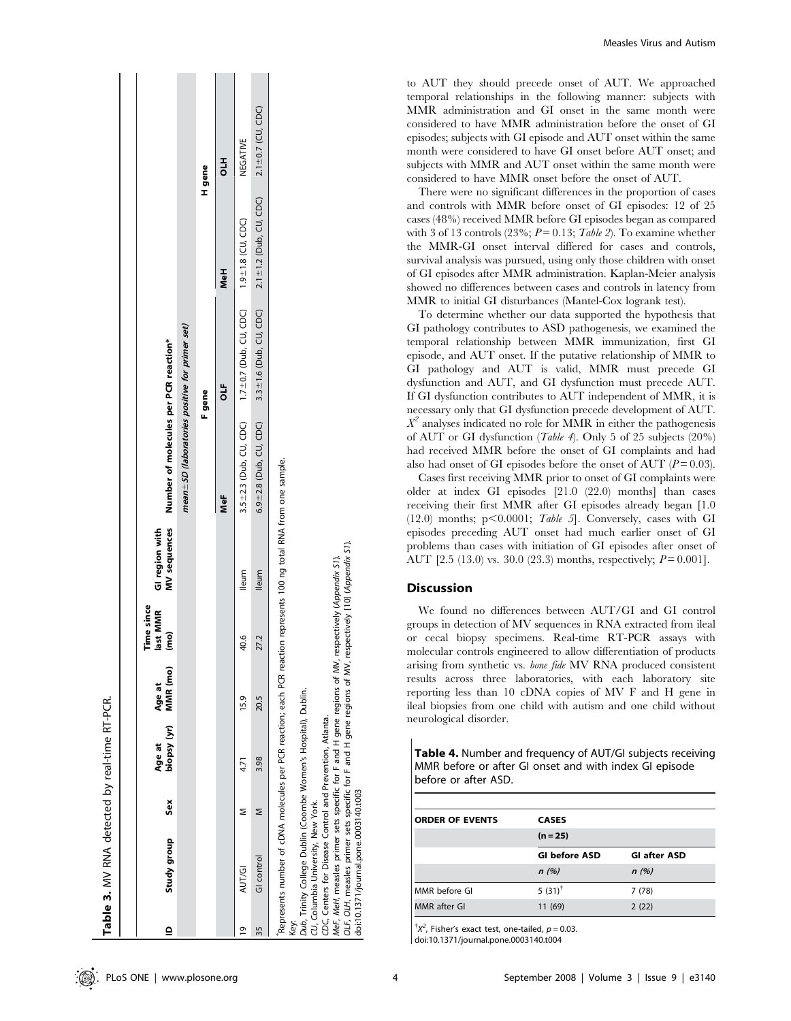|                | Table 3. MV RNA detected by real-time RT-PCR.                                                                                                                     |     |                       |                    |                                  |                                                                                                                      |                                                  |                              |                              |                         |
|----------------|-------------------------------------------------------------------------------------------------------------------------------------------------------------------|-----|-----------------------|--------------------|----------------------------------|----------------------------------------------------------------------------------------------------------------------|--------------------------------------------------|------------------------------|------------------------------|-------------------------|
| $\overline{a}$ | Study group                                                                                                                                                       | Sex | biopsy (yr)<br>Age at | MMR (mo)<br>Age at | Time since<br>ast MMR<br>em<br>E | <b>MV</b> sequences<br>GI region with                                                                                | Number of molecules per PCR reaction*            |                              |                              |                         |
|                |                                                                                                                                                                   |     |                       |                    |                                  |                                                                                                                      | mean + SD (laboratories positive for primer set) |                              |                              |                         |
|                |                                                                                                                                                                   |     |                       |                    |                                  |                                                                                                                      |                                                  | F gene                       |                              | H gene                  |
|                |                                                                                                                                                                   |     |                       |                    |                                  |                                                                                                                      | NeF                                              | đ                            | <b>MeH</b>                   | 긩                       |
| ō,             | AUT/GI                                                                                                                                                            |     | 4.71                  | 15.9               | 40.6                             | lleum                                                                                                                | $3.5 \pm 2.3$ (Dub, CU, CDC)                     | $1.7 \pm 0.7$ (Dub, CU, CDC) | $1.9 \pm 1.8$ (CU, CDC)      | NEGATIVE                |
| 35             | GI control                                                                                                                                                        | Σ   | 3.98                  | 20.5               | 27.2                             | <b>Illeum</b>                                                                                                        | $6.9 \pm 2.8$ (Dub, CU, CDC)                     | $3.3 \pm 1.6$ (Dub, CU, CDC) | $2.1 \pm 1.2$ (Dub, CU, CDC) | $2.1 \pm 0.7$ (CU, CDC) |
| key:           | Dub, Trinity College Dublin (Coombe Women's Hospital), Dublin.<br>CDC, Centers for Disease Control and Prevention, Atlanta.<br>CU, Columbia University, New York. |     |                       |                    |                                  | Represents number of cDNA molecules per PCR reaction; each PCR reaction represents 100 ng total RNA from one sample. |                                                  |                              |                              |                         |

Measles Virus and Autism

to AUT they should precede onset of AUT. We approached temporal relationships in the following manner: subjects with MMR administration and GI onset in the same month were considered to have MMR administration before the onset of GI episodes; subjects with GI episode and AUT onset within the same month were considered to have GI onset before AUT onset; and subjects with MMR and AUT onset within the same month were considered to have MMR onset before the onset of AUT.

There were no significant differences in the proportion of cases and controls with MMR before onset of GI episodes: 12 of 25 cases (48%) received MMR before GI episodes began as compared with 3 of 13 controls  $(23\%; P=0.13; Table 2)$ . To examine whether the MMR-GI onset interval differed for cases and controls, survival analysis was pursued, using only those children with onset of GI episodes after MMR administration. Kaplan-Meier analysis showed no differences between cases and controls in latency from MMR to initial GI disturbances (Mantel-Cox logrank test).

To determine whether our data supported the hypothesis that GI pathology contributes to ASD pathogenesis, we examined the temporal relationship between MMR immunization, first GI episode, and AUT onset. If the putative relationship of MMR to GI pathology and AUT is valid, MMR must precede GI dysfunction and AUT, and GI dysfunction must precede AUT. If GI dysfunction contributes to AUT independent of MMR, it is necessary only that GI dysfunction precede development of AUT.  $X^2$  analyses indicated no role for MMR in either the pathogenesis of AUT or GI dysfunction (Table 4). Only 5 of 25 subjects (20%) had received MMR before the onset of GI complaints and had also had onset of GI episodes before the onset of AUT  $(P = 0.03)$ .

Cases first receiving MMR prior to onset of GI complaints were older at index GI episodes [21.0 (22.0) months] than cases receiving their first MMR after GI episodes already began [1.0 (12.0) months;  $p<0.0001$ ; *Table 5*]. Conversely, cases with GI episodes preceding AUT onset had much earlier onset of GI problems than cases with initiation of GI episodes after onset of AUT  $[2.5 (13.0)$  vs. 30.0  $(23.3)$  months, respectively;  $P = 0.001$ .

# **Discussion**

We found no differences between AUT/GI and GI control groups in detection of MV sequences in RNA extracted from ileal or cecal biopsy specimens. Real-time RT-PCR assays with molecular controls engineered to allow differentiation of products arising from synthetic vs. bone fide MV RNA produced consistent results across three laboratories, with each laboratory site reporting less than 10 cDNA copies of MV F and H gene in ileal biopsies from one child with autism and one child without neurological disorder.

Table 4. Number and frequency of AUT/GI subjects receiving MMR before or after GI onset and with index GI episode before or after ASD.

| <b>ORDER OF EVENTS</b> | <b>CASES</b>          |                     |
|------------------------|-----------------------|---------------------|
|                        | $(n = 25)$            |                     |
|                        | <b>GI before ASD</b>  | <b>GI after ASD</b> |
|                        | n(%)                  | n(%)                |
| MMR before GI          | 5 $(31)$ <sup>†</sup> | 7(78)               |
| <b>MMR</b> after GI    | 11 (69)               | 2(22)               |
|                        |                       |                     |

 $^{\dagger}X^2$ , Fisher's exact test, one-tailed,  $p = 0.03$ .

doi:10.1371/journal.pone.0003140.t004

MeF, MeH, measles primer sets specific for F and H gene regions of MV, respectively (Appendix S1). OLF, OLH, measles primer sets specific for F and H gene regions of MV, respectively [10] (Appendix S1).

, measles primer sets specific for F and H gene regions of MV, respectively (Appendix S1).<br>measles primer sets specific for F and H gene regions of MV, respectively [10] (Appendix S1).

doi:10.1371/journal.pone.0003140.t003

MeH, OLH, MeF, de:<br>de:

10.1371/journal.pone.0003140.t003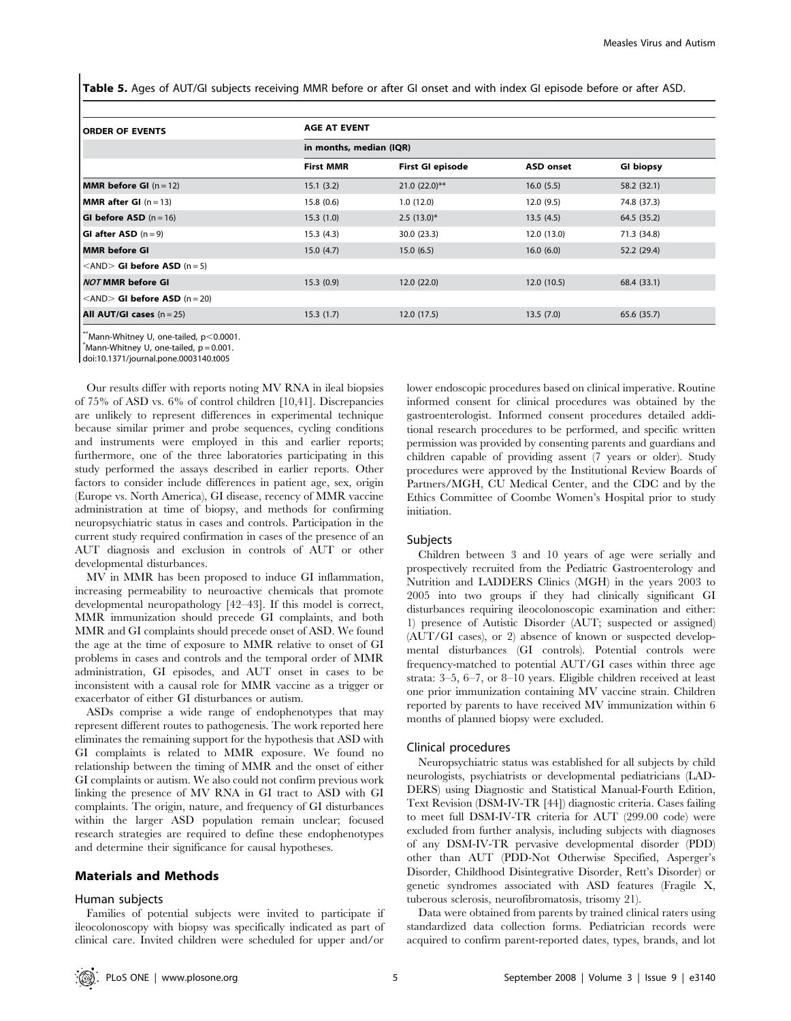Table 5. Ages of AUT/GI subjects receiving MMR before or after GI onset and with index GI episode before or after ASD.

| <b>ORDER OF EVENTS</b>                              | <b>AGE AT EVENT</b>     |                  |                  |                  |  |  |
|-----------------------------------------------------|-------------------------|------------------|------------------|------------------|--|--|
|                                                     | in months, median (IQR) |                  |                  |                  |  |  |
|                                                     | <b>First MMR</b>        | First GI episode | <b>ASD onset</b> | <b>GI biopsy</b> |  |  |
| <b>MMR before GI</b> $(n = 12)$                     | 15.1(3.2)               | $21.0(22.0)$ **  | 16.0(5.5)        | 58.2 (32.1)      |  |  |
| <b>MMR after GI</b> $(n = 13)$                      | 15.8(0.6)               | 1.0(12.0)        | 12.0(9.5)        | 74.8 (37.3)      |  |  |
| <b>GI before ASD</b> $(n = 16)$                     | 15.3(1.0)               | $2.5(13.0)^{*}$  | 13.5(4.5)        | 64.5 (35.2)      |  |  |
| <b>GI after ASD</b> $(n=9)$                         | 15.3(4.3)               | 30.0(23.3)       | 12.0 (13.0)      | 71.3 (34.8)      |  |  |
| MMR before GI                                       | 15.0(4.7)               | 15.0(6.5)        | 16.0(6.0)        | 52.2 (29.4)      |  |  |
| $\langle$ AND $>$ GI before ASD (n = 5)             |                         |                  |                  |                  |  |  |
| <b>NOT MMR before GI</b>                            | 15.3(0.9)               | 12.0(22.0)       | 12.0(10.5)       | 68.4 (33.1)      |  |  |
| $\langle \text{AND} \rangle$ GI before ASD (n = 20) |                         |                  |                  |                  |  |  |
| <b>All AUT/GI cases</b> $(n = 25)$                  | 15.3(1.7)               | 12.0(17.5)       | 13.5(7.0)        | 65.6 (35.7)      |  |  |

 $*$ Mann-Whitney U, one-tailed, p $<$ 0.0001.

 $^*$ Mann-Whitney U, one-tailed,  $p = 0.001$ .

doi:10.1371/journal.pone.0003140.t005

Our results differ with reports noting MV RNA in ileal biopsies of 75% of ASD vs. 6% of control children [10,41]. Discrepancies are unlikely to represent differences in experimental technique because similar primer and probe sequences, cycling conditions and instruments were employed in this and earlier reports; furthermore, one of the three laboratories participating in this study performed the assays described in earlier reports. Other factors to consider include differences in patient age, sex, origin (Europe vs. North America), GI disease, recency of MMR vaccine administration at time of biopsy, and methods for confirming neuropsychiatric status in cases and controls. Participation in the current study required confirmation in cases of the presence of an AUT diagnosis and exclusion in controls of AUT or other developmental disturbances.

MV in MMR has been proposed to induce GI inflammation, increasing permeability to neuroactive chemicals that promote developmental neuropathology [42–43]. If this model is correct, MMR immunization should precede GI complaints, and both MMR and GI complaints should precede onset of ASD. We found the age at the time of exposure to MMR relative to onset of GI problems in cases and controls and the temporal order of MMR administration, GI episodes, and AUT onset in cases to be inconsistent with a causal role for MMR vaccine as a trigger or exacerbator of either GI disturbances or autism.

ASDs comprise a wide range of endophenotypes that may represent different routes to pathogenesis. The work reported here eliminates the remaining support for the hypothesis that ASD with GI complaints is related to MMR exposure. We found no relationship between the timing of MMR and the onset of either GI complaints or autism. We also could not confirm previous work linking the presence of MV RNA in GI tract to ASD with GI complaints. The origin, nature, and frequency of GI disturbances within the larger ASD population remain unclear; focused research strategies are required to define these endophenotypes and determine their significance for causal hypotheses.

## Materials and Methods

#### Human subjects

Families of potential subjects were invited to participate if ileocolonoscopy with biopsy was specifically indicated as part of clinical care. Invited children were scheduled for upper and/or

lower endoscopic procedures based on clinical imperative. Routine informed consent for clinical procedures was obtained by the gastroenterologist. Informed consent procedures detailed additional research procedures to be performed, and specific written permission was provided by consenting parents and guardians and children capable of providing assent (7 years or older). Study procedures were approved by the Institutional Review Boards of Partners/MGH, CU Medical Center, and the CDC and by the Ethics Committee of Coombe Women's Hospital prior to study initiation.

## Subjects

Children between 3 and 10 years of age were serially and prospectively recruited from the Pediatric Gastroenterology and Nutrition and LADDERS Clinics (MGH) in the years 2003 to 2005 into two groups if they had clinically significant GI disturbances requiring ileocolonoscopic examination and either: 1) presence of Autistic Disorder (AUT; suspected or assigned) (AUT/GI cases), or 2) absence of known or suspected developmental disturbances (GI controls). Potential controls were frequency-matched to potential AUT/GI cases within three age strata: 3–5, 6–7, or 8–10 years. Eligible children received at least one prior immunization containing MV vaccine strain. Children reported by parents to have received MV immunization within 6 months of planned biopsy were excluded.

#### Clinical procedures

Neuropsychiatric status was established for all subjects by child neurologists, psychiatrists or developmental pediatricians (LAD-DERS) using Diagnostic and Statistical Manual-Fourth Edition, Text Revision (DSM-IV-TR [44]) diagnostic criteria. Cases failing to meet full DSM-IV-TR criteria for AUT (299.00 code) were excluded from further analysis, including subjects with diagnoses of any DSM-IV-TR pervasive developmental disorder (PDD) other than AUT (PDD-Not Otherwise Specified, Asperger's Disorder, Childhood Disintegrative Disorder, Rett's Disorder) or genetic syndromes associated with ASD features (Fragile X, tuberous sclerosis, neurofibromatosis, trisomy 21).

Data were obtained from parents by trained clinical raters using standardized data collection forms. Pediatrician records were acquired to confirm parent-reported dates, types, brands, and lot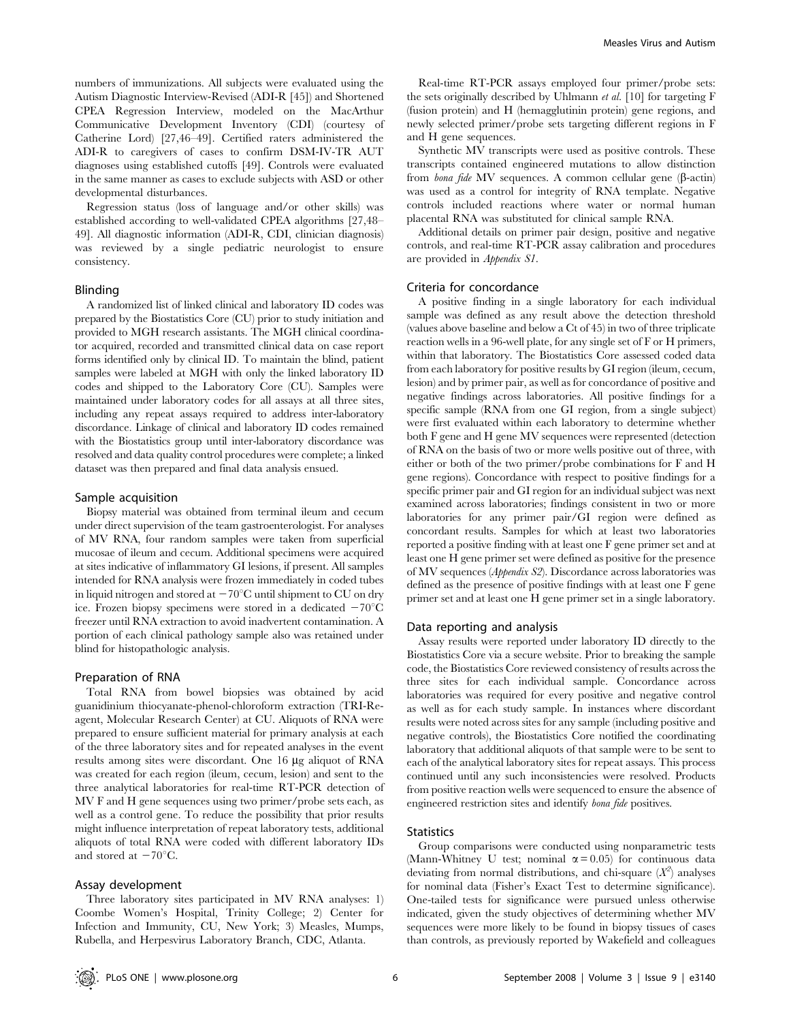numbers of immunizations. All subjects were evaluated using the Autism Diagnostic Interview-Revised (ADI-R [45]) and Shortened CPEA Regression Interview, modeled on the MacArthur Communicative Development Inventory (CDI) (courtesy of Catherine Lord) [27,46–49]. Certified raters administered the ADI-R to caregivers of cases to confirm DSM-IV-TR AUT diagnoses using established cutoffs [49]. Controls were evaluated in the same manner as cases to exclude subjects with ASD or other developmental disturbances.

Regression status (loss of language and/or other skills) was established according to well-validated CPEA algorithms [27,48– 49]. All diagnostic information (ADI-R, CDI, clinician diagnosis) was reviewed by a single pediatric neurologist to ensure consistency.

#### Blinding

A randomized list of linked clinical and laboratory ID codes was prepared by the Biostatistics Core (CU) prior to study initiation and provided to MGH research assistants. The MGH clinical coordinator acquired, recorded and transmitted clinical data on case report forms identified only by clinical ID. To maintain the blind, patient samples were labeled at MGH with only the linked laboratory ID codes and shipped to the Laboratory Core (CU). Samples were maintained under laboratory codes for all assays at all three sites, including any repeat assays required to address inter-laboratory discordance. Linkage of clinical and laboratory ID codes remained with the Biostatistics group until inter-laboratory discordance was resolved and data quality control procedures were complete; a linked dataset was then prepared and final data analysis ensued.

#### Sample acquisition

Biopsy material was obtained from terminal ileum and cecum under direct supervision of the team gastroenterologist. For analyses of MV RNA, four random samples were taken from superficial mucosae of ileum and cecum. Additional specimens were acquired at sites indicative of inflammatory GI lesions, if present. All samples intended for RNA analysis were frozen immediately in coded tubes in liquid nitrogen and stored at  $-70^{\circ}$ C until shipment to CU on dry ice. Frozen biopsy specimens were stored in a dedicated  $-70^{\circ}$ C freezer until RNA extraction to avoid inadvertent contamination. A portion of each clinical pathology sample also was retained under blind for histopathologic analysis.

#### Preparation of RNA

Total RNA from bowel biopsies was obtained by acid guanidinium thiocyanate-phenol-chloroform extraction (TRI-Reagent, Molecular Research Center) at CU. Aliquots of RNA were prepared to ensure sufficient material for primary analysis at each of the three laboratory sites and for repeated analyses in the event results among sites were discordant. One 16 µg aliquot of RNA was created for each region (ileum, cecum, lesion) and sent to the three analytical laboratories for real-time RT-PCR detection of MV F and H gene sequences using two primer/probe sets each, as well as a control gene. To reduce the possibility that prior results might influence interpretation of repeat laboratory tests, additional aliquots of total RNA were coded with different laboratory IDs and stored at  $-70^{\circ}$ C.

# Assay development

Three laboratory sites participated in MV RNA analyses: 1) Coombe Women's Hospital, Trinity College; 2) Center for Infection and Immunity, CU, New York; 3) Measles, Mumps, Rubella, and Herpesvirus Laboratory Branch, CDC, Atlanta.

Real-time RT-PCR assays employed four primer/probe sets: the sets originally described by Uhlmann et al. [10] for targeting F (fusion protein) and H (hemagglutinin protein) gene regions, and newly selected primer/probe sets targeting different regions in F and H gene sequences.

Synthetic MV transcripts were used as positive controls. These transcripts contained engineered mutations to allow distinction from *bona fide* MV sequences. A common cellular gene  $(\beta$ -actin) was used as a control for integrity of RNA template. Negative controls included reactions where water or normal human placental RNA was substituted for clinical sample RNA.

Additional details on primer pair design, positive and negative controls, and real-time RT-PCR assay calibration and procedures are provided in Appendix S1.

#### Criteria for concordance

A positive finding in a single laboratory for each individual sample was defined as any result above the detection threshold (values above baseline and below a Ct of 45) in two of three triplicate reaction wells in a 96-well plate, for any single set of F or H primers, within that laboratory. The Biostatistics Core assessed coded data from each laboratory for positive results by GI region (ileum, cecum, lesion) and by primer pair, as well as for concordance of positive and negative findings across laboratories. All positive findings for a specific sample (RNA from one GI region, from a single subject) were first evaluated within each laboratory to determine whether both F gene and H gene MV sequences were represented (detection of RNA on the basis of two or more wells positive out of three, with either or both of the two primer/probe combinations for F and H gene regions). Concordance with respect to positive findings for a specific primer pair and GI region for an individual subject was next examined across laboratories; findings consistent in two or more laboratories for any primer pair/GI region were defined as concordant results. Samples for which at least two laboratories reported a positive finding with at least one F gene primer set and at least one H gene primer set were defined as positive for the presence of MV sequences (Appendix S2). Discordance across laboratories was defined as the presence of positive findings with at least one F gene primer set and at least one H gene primer set in a single laboratory.

#### Data reporting and analysis

Assay results were reported under laboratory ID directly to the Biostatistics Core via a secure website. Prior to breaking the sample code, the Biostatistics Core reviewed consistency of results across the three sites for each individual sample. Concordance across laboratories was required for every positive and negative control as well as for each study sample. In instances where discordant results were noted across sites for any sample (including positive and negative controls), the Biostatistics Core notified the coordinating laboratory that additional aliquots of that sample were to be sent to each of the analytical laboratory sites for repeat assays. This process continued until any such inconsistencies were resolved. Products from positive reaction wells were sequenced to ensure the absence of engineered restriction sites and identify bona fide positives.

## **Statistics**

Group comparisons were conducted using nonparametric tests (Mann-Whitney U test; nominal  $\alpha$  = 0.05) for continuous data deviating from normal distributions, and chi-square  $(X^2)$  analyses for nominal data (Fisher's Exact Test to determine significance). One-tailed tests for significance were pursued unless otherwise indicated, given the study objectives of determining whether MV sequences were more likely to be found in biopsy tissues of cases than controls, as previously reported by Wakefield and colleagues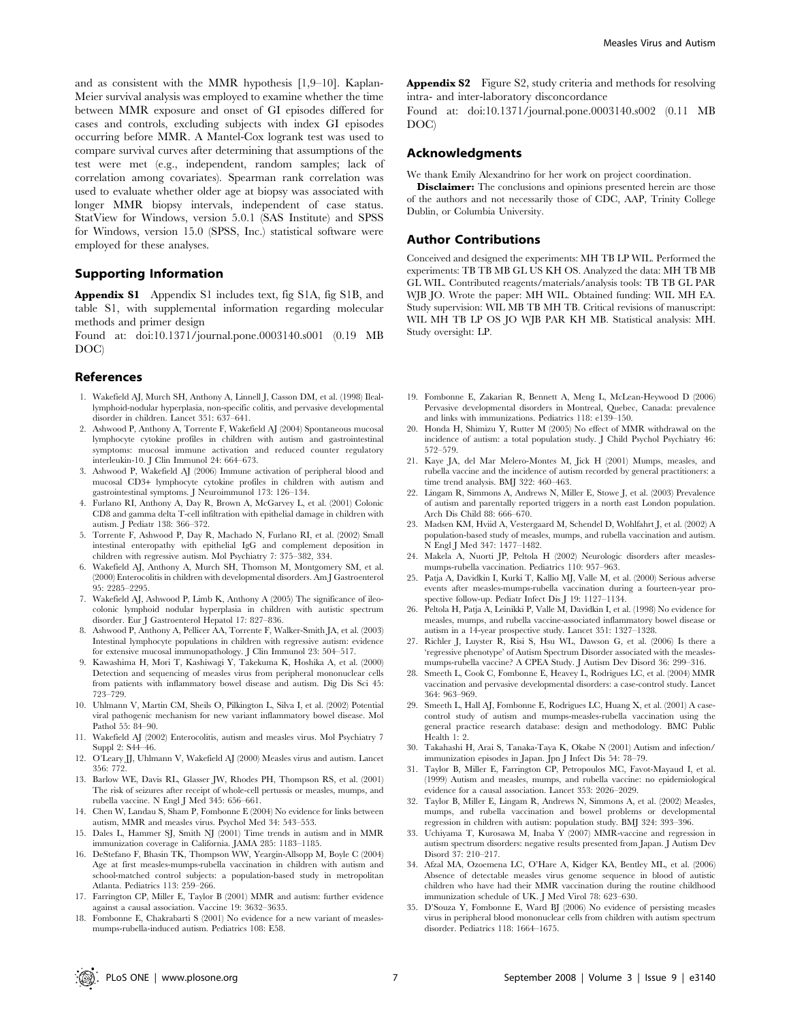and as consistent with the MMR hypothesis [1,9–10]. Kaplan-Meier survival analysis was employed to examine whether the time between MMR exposure and onset of GI episodes differed for cases and controls, excluding subjects with index GI episodes occurring before MMR. A Mantel-Cox logrank test was used to compare survival curves after determining that assumptions of the test were met (e.g., independent, random samples; lack of correlation among covariates). Spearman rank correlation was used to evaluate whether older age at biopsy was associated with longer MMR biopsy intervals, independent of case status. StatView for Windows, version 5.0.1 (SAS Institute) and SPSS for Windows, version 15.0 (SPSS, Inc.) statistical software were employed for these analyses.

# Supporting Information

Appendix S1 Appendix S1 includes text, fig S1A, fig S1B, and table S1, with supplemental information regarding molecular methods and primer design

Found at: doi:10.1371/journal.pone.0003140.s001 (0.19 MB DOC)

## References

- 1. Wakefield AJ, Murch SH, Anthony A, Linnell J, Casson DM, et al. (1998) Ileallymphoid-nodular hyperplasia, non-specific colitis, and pervasive developmental disorder in children. Lancet 351: 637–641.
- 2. Ashwood P, Anthony A, Torrente F, Wakefield AJ (2004) Spontaneous mucosal lymphocyte cytokine profiles in children with autism and gastrointestinal symptoms: mucosal immune activation and reduced counter regulatory interleukin-10. J Clin Immunol 24: 664–673.
- 3. Ashwood P, Wakefield AJ (2006) Immune activation of peripheral blood and mucosal CD3+ lymphocyte cytokine profiles in children with autism and gastrointestinal symptoms. J Neuroimmunol 173: 126–134.
- 4. Furlano RI, Anthony A, Day R, Brown A, McGarvey L, et al. (2001) Colonic CD8 and gamma delta T-cell infiltration with epithelial damage in children with autism. J Pediatr 138: 366–372.
- 5. Torrente F, Ashwood P, Day R, Machado N, Furlano RI, et al. (2002) Small intestinal enteropathy with epithelial IgG and complement deposition in children with regressive autism. Mol Psychiatry 7: 375–382, 334.
- 6. Wakefield AJ, Anthony A, Murch SH, Thomson M, Montgomery SM, et al. (2000) Enterocolitis in children with developmental disorders. Am J Gastroenterol 95: 2285–2295.
- 7. Wakefield AJ, Ashwood P, Limb K, Anthony A (2005) The significance of ileocolonic lymphoid nodular hyperplasia in children with autistic spectrum disorder. Eur J Gastroenterol Hepatol 17: 827–836.
- 8. Ashwood P, Anthony A, Pellicer AA, Torrente F, Walker-Smith JA, et al. (2003) Intestinal lymphocyte populations in children with regressive autism: evidence for extensive mucosal immunopathology. J Clin Immunol 23: 504–517.
- 9. Kawashima H, Mori T, Kashiwagi Y, Takekuma K, Hoshika A, et al. (2000) Detection and sequencing of measles virus from peripheral mononuclear cells from patients with inflammatory bowel disease and autism. Dig Dis Sci 45: 723–729.
- 10. Uhlmann V, Martin CM, Sheils O, Pilkington L, Silva I, et al. (2002) Potential viral pathogenic mechanism for new variant inflammatory bowel disease. Mol Pathol 55: 84–90.
- 11. Wakefield AJ (2002) Enterocolitis, autism and measles virus. Mol Psychiatry 7 Suppl 2: S44–46.
- 12. O'Leary JJ, Uhlmann V, Wakefield AJ (2000) Measles virus and autism. Lancet 356: 772.
- 13. Barlow WE, Davis RL, Glasser JW, Rhodes PH, Thompson RS, et al. (2001) The risk of seizures after receipt of whole-cell pertussis or measles, mumps, and rubella vaccine. N Engl J Med 345: 656–661.
- 14. Chen W, Landau S, Sham P, Fombonne E (2004) No evidence for links between autism, MMR and measles virus. Psychol Med 34: 543–553.
- 15. Dales L, Hammer SJ, Smith NJ (2001) Time trends in autism and in MMR immunization coverage in California. JAMA 285: 1183–1185.
- 16. DeStefano F, Bhasin TK, Thompson WW, Yeargin-Allsopp M, Boyle C (2004) Age at first measles-mumps-rubella vaccination in children with autism and school-matched control subjects: a population-based study in metropolitan Atlanta. Pediatrics 113: 259–266.
- 17. Farrington CP, Miller E, Taylor B (2001) MMR and autism: further evidence against a causal association. Vaccine 19: 3632–3635.
- 18. Fombonne E, Chakrabarti S (2001) No evidence for a new variant of measlesmumps-rubella-induced autism. Pediatrics 108: E58.

Appendix S2 Figure S2, study criteria and methods for resolving intra- and inter-laboratory disconcordance

Found at: doi:10.1371/journal.pone.0003140.s002 (0.11 MB DOC)

## Acknowledgments

We thank Emily Alexandrino for her work on project coordination.

**Disclaimer:** The conclusions and opinions presented herein are those of the authors and not necessarily those of CDC, AAP, Trinity College Dublin, or Columbia University.

### Author Contributions

Conceived and designed the experiments: MH TB LP WIL. Performed the experiments: TB TB MB GL US KH OS. Analyzed the data: MH TB MB GL WIL. Contributed reagents/materials/analysis tools: TB TB GL PAR WJB JO. Wrote the paper: MH WIL. Obtained funding: WIL MH EA. Study supervision: WIL MB TB MH TB. Critical revisions of manuscript: WIL MH TB LP OS JO WJB PAR KH MB. Statistical analysis: MH. Study oversight: LP.

- 19. Fombonne E, Zakarian R, Bennett A, Meng L, McLean-Heywood D (2006) Pervasive developmental disorders in Montreal, Quebec, Canada: prevalence and links with immunizations. Pediatrics 118: e139–150.
- 20. Honda H, Shimizu Y, Rutter M (2005) No effect of MMR withdrawal on the incidence of autism: a total population study. J Child Psychol Psychiatry 46: 572–579.
- 21. Kaye JA, del Mar Melero-Montes M, Jick H (2001) Mumps, measles, and rubella vaccine and the incidence of autism recorded by general practitioners: a time trend analysis. BMJ 322: 460–463.
- 22. Lingam R, Simmons A, Andrews N, Miller E, Stowe J, et al. (2003) Prevalence of autism and parentally reported triggers in a north east London population. Arch Dis Child 88: 666–670.
- 23. Madsen KM, Hviid A, Vestergaard M, Schendel D, Wohlfahrt J, et al. (2002) A population-based study of measles, mumps, and rubella vaccination and autism. N Engl J Med 347: 1477–1482.
- 24. Makela A, Nuorti JP, Peltola H (2002) Neurologic disorders after measlesmumps-rubella vaccination. Pediatrics 110: 957–963.
- 25. Patja A, Davidkin I, Kurki T, Kallio MJ, Valle M, et al. (2000) Serious adverse events after measles-mumps-rubella vaccination during a fourteen-year prospective follow-up. Pediatr Infect Dis J 19: 1127–1134.
- 26. Peltola H, Patja A, Leinikki P, Valle M, Davidkin I, et al. (1998) No evidence for measles, mumps, and rubella vaccine-associated inflammatory bowel disease or autism in a 14-year prospective study. Lancet 351: 1327–1328.
- 27. Richler J, Luyster R, Risi S, Hsu WL, Dawson G, et al. (2006) Is there a 'regressive phenotype' of Autism Spectrum Disorder associated with the measlesmumps-rubella vaccine? A CPEA Study. J Autism Dev Disord 36: 299–316.
- 28. Smeeth L, Cook C, Fombonne E, Heavey L, Rodrigues LC, et al. (2004) MMR vaccination and pervasive developmental disorders: a case-control study. Lancet 364: 963–969.
- 29. Smeeth L, Hall AJ, Fombonne E, Rodrigues LC, Huang X, et al. (2001) A casecontrol study of autism and mumps-measles-rubella vaccination using the general practice research database: design and methodology. BMC Public Health 1: 2.
- 30. Takahashi H, Arai S, Tanaka-Taya K, Okabe N (2001) Autism and infection/ immunization episodes in Japan. Jpn J Infect Dis 54: 78–79.
- 31. Taylor B, Miller E, Farrington CP, Petropoulos MC, Favot-Mayaud I, et al. (1999) Autism and measles, mumps, and rubella vaccine: no epidemiological evidence for a causal association. Lancet 353: 2026–2029.
- 32. Taylor B, Miller E, Lingam R, Andrews N, Simmons A, et al. (2002) Measles, mumps, and rubella vaccination and bowel problems or developmental regression in children with autism: population study. BMJ 324: 393–396.
- 33. Uchiyama T, Kurosawa M, Inaba Y (2007) MMR-vaccine and regression in autism spectrum disorders: negative results presented from Japan. J Autism Dev Disord 37: 210–217.
- 34. Afzal MA, Ozoemena LC, O'Hare A, Kidger KA, Bentley ML, et al. (2006) Absence of detectable measles virus genome sequence in blood of autistic children who have had their MMR vaccination during the routine childhood immunization schedule of UK. J Med Virol 78: 623–630.
- 35. D'Souza Y, Fombonne E, Ward BJ (2006) No evidence of persisting measles virus in peripheral blood mononuclear cells from children with autism spectrum disorder. Pediatrics 118: 1664–1675.